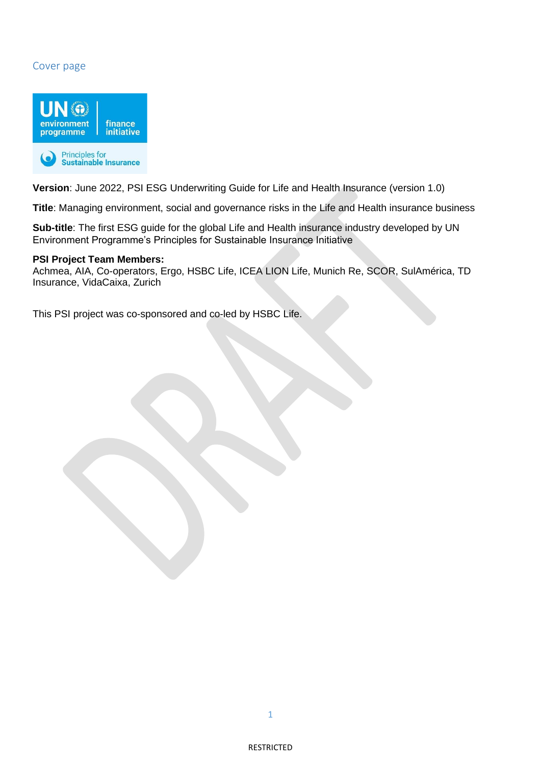## Cover page



**Version**: June 2022, PSI ESG Underwriting Guide for Life and Health Insurance (version 1.0)

**Title**: Managing environment, social and governance risks in the Life and Health insurance business

**Sub-title**: The first ESG guide for the global Life and Health insurance industry developed by UN Environment Programme's Principles for Sustainable Insurance Initiative

#### **PSI Project Team Members:**

Achmea, AIA, Co-operators, Ergo, HSBC Life, ICEA LION Life, Munich Re, SCOR, SulAmérica, TD Insurance, VidaCaixa, Zurich

This PSI project was co-sponsored and co-led by HSBC Life.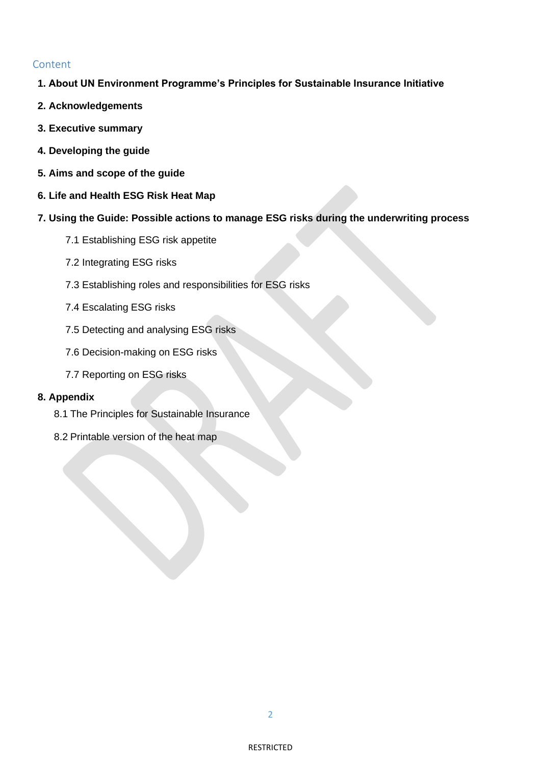## Content

- **1. About UN Environment Programme's Principles for Sustainable Insurance Initiative**
- **2. Acknowledgements**
- **3. Executive summary**
- **4. Developing the guide**
- **5. Aims and scope of the guide**
- **6. Life and Health ESG Risk Heat Map**
- **7. Using the Guide: Possible actions to manage ESG risks during the underwriting process**
	- 7.1 Establishing ESG risk appetite
	- 7.2 Integrating ESG risks
	- 7.3 Establishing roles and responsibilities for ESG risks
	- 7.4 Escalating ESG risks
	- 7.5 Detecting and analysing ESG risks
	- 7.6 Decision-making on ESG risks
	- 7.7 Reporting on ESG risks

#### **8. Appendix**

- 8.1 The Principles for Sustainable Insurance
- 8.2 Printable version of the heat map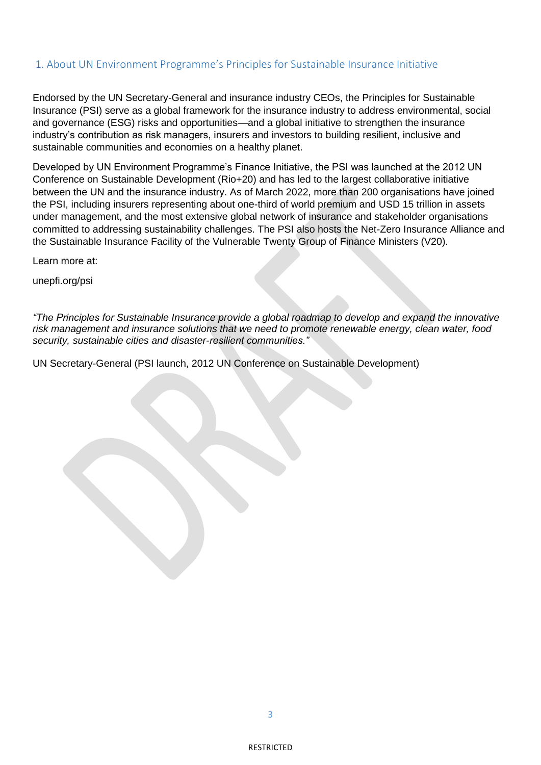### 1. About UN Environment Programme's Principles for Sustainable Insurance Initiative

Endorsed by the UN Secretary-General and insurance industry CEOs, the Principles for Sustainable Insurance (PSI) serve as a global framework for the insurance industry to address environmental, social and governance (ESG) risks and opportunities—and a global initiative to strengthen the insurance industry's contribution as risk managers, insurers and investors to building resilient, inclusive and sustainable communities and economies on a healthy planet.

Developed by UN Environment Programme's Finance Initiative, the PSI was launched at the 2012 UN Conference on Sustainable Development (Rio+20) and has led to the largest collaborative initiative between the UN and the insurance industry. As of March 2022, more than 200 organisations have joined the PSI, including insurers representing about one-third of world premium and USD 15 trillion in assets under management, and the most extensive global network of insurance and stakeholder organisations committed to addressing sustainability challenges. The PSI also hosts the Net-Zero Insurance Alliance and the Sustainable Insurance Facility of the Vulnerable Twenty Group of Finance Ministers (V20).

Learn more at:

unepfi.org/psi

*"The Principles for Sustainable Insurance provide a global roadmap to develop and expand the innovative risk management and insurance solutions that we need to promote renewable energy, clean water, food security, sustainable cities and disaster-resilient communities."*

UN Secretary-General (PSI launch, 2012 UN Conference on Sustainable Development)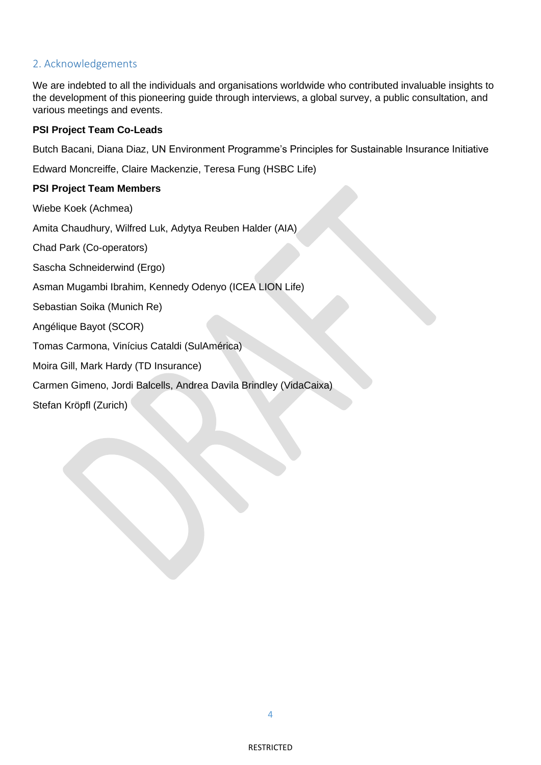## 2. Acknowledgements

We are indebted to all the individuals and organisations worldwide who contributed invaluable insights to the development of this pioneering guide through interviews, a global survey, a public consultation, and various meetings and events.

### **PSI Project Team Co-Leads**

Butch Bacani, Diana Diaz, UN Environment Programme's Principles for Sustainable Insurance Initiative

Edward Moncreiffe, Claire Mackenzie, Teresa Fung (HSBC Life)

### **PSI Project Team Members**

Wiebe Koek (Achmea)

Amita Chaudhury, Wilfred Luk, Adytya Reuben Halder (AIA)

Chad Park (Co-operators)

Sascha Schneiderwind (Ergo)

Asman Mugambi Ibrahim, Kennedy Odenyo (ICEA LION Life)

Sebastian Soika (Munich Re)

Angélique Bayot (SCOR)

Tomas Carmona, Vinícius Cataldi (SulAmérica)

Moira Gill, Mark Hardy (TD Insurance)

Carmen Gimeno, Jordi Balcells, Andrea Davila Brindley (VidaCaixa)

Stefan Kröpfl (Zurich)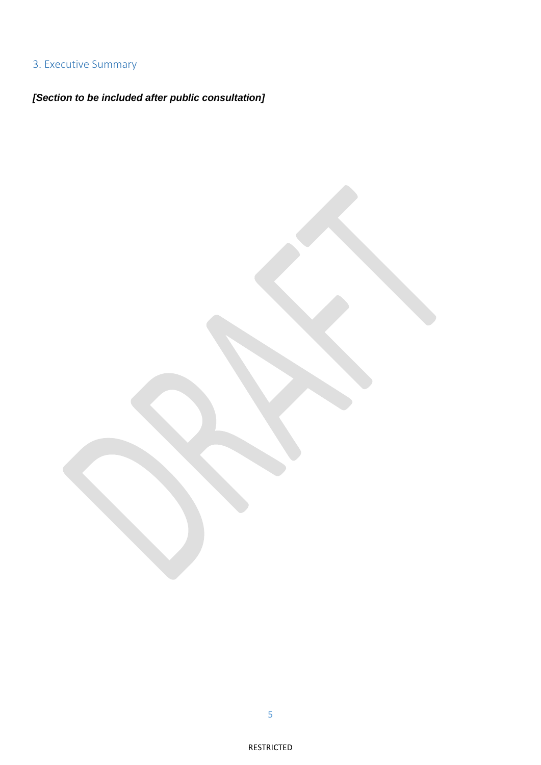# 3. Executive Summary

*[Section to be included after public consultation]*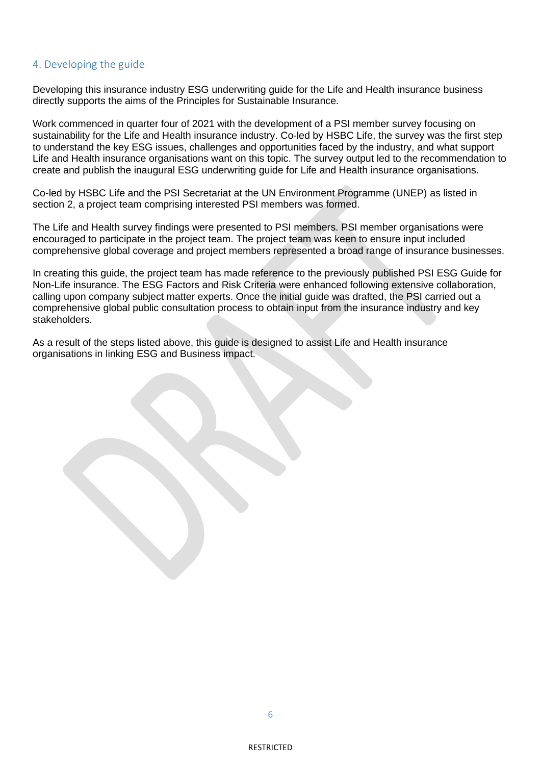### 4. Developing the guide

Developing this insurance industry ESG underwriting guide for the Life and Health insurance business directly supports the aims of the Principles for Sustainable Insurance.

Work commenced in quarter four of 2021 with the development of a PSI member survey focusing on sustainability for the Life and Health insurance industry. Co-led by HSBC Life, the survey was the first step to understand the key ESG issues, challenges and opportunities faced by the industry, and what support Life and Health insurance organisations want on this topic. The survey output led to the recommendation to create and publish the inaugural ESG underwriting guide for Life and Health insurance organisations.

Co-led by HSBC Life and the PSI Secretariat at the UN Environment Programme (UNEP) as listed in section 2, a project team comprising interested PSI members was formed.

The Life and Health survey findings were presented to PSI members. PSI member organisations were encouraged to participate in the project team. The project team was keen to ensure input included comprehensive global coverage and project members represented a broad range of insurance businesses.

In creating this guide, the project team has made reference to the previously published PSI ESG Guide for Non-Life insurance. The ESG Factors and Risk Criteria were enhanced following extensive collaboration, calling upon company subject matter experts. Once the initial guide was drafted, the PSI carried out a comprehensive global public consultation process to obtain input from the insurance industry and key stakeholders.

As a result of the steps listed above, this guide is designed to assist Life and Health insurance organisations in linking ESG and Business impact.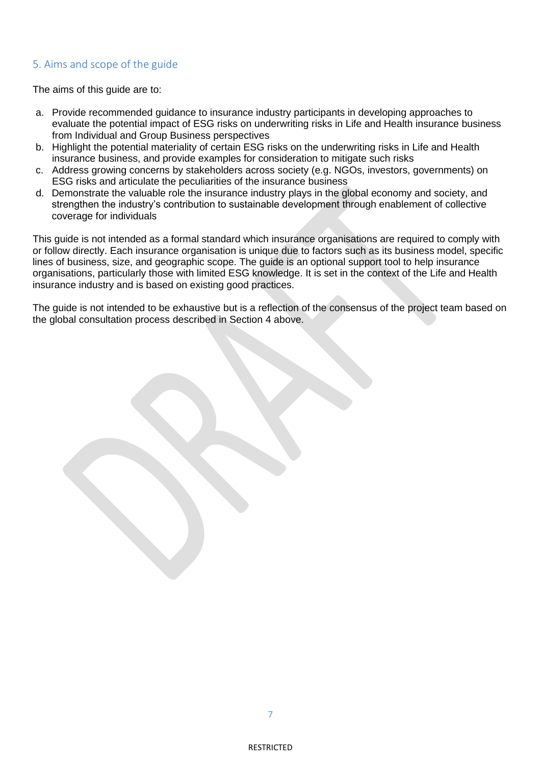## 5. Aims and scope of the guide

The aims of this guide are to:

- a. Provide recommended guidance to insurance industry participants in developing approaches to evaluate the potential impact of ESG risks on underwriting risks in Life and Health insurance business from Individual and Group Business perspectives
- b. Highlight the potential materiality of certain ESG risks on the underwriting risks in Life and Health insurance business, and provide examples for consideration to mitigate such risks
- c. Address growing concerns by stakeholders across society (e.g. NGOs, investors, governments) on ESG risks and articulate the peculiarities of the insurance business
- d. Demonstrate the valuable role the insurance industry plays in the global economy and society, and strengthen the industry's contribution to sustainable development through enablement of collective coverage for individuals

This guide is not intended as a formal standard which insurance organisations are required to comply with or follow directly. Each insurance organisation is unique due to factors such as its business model, specific lines of business, size, and geographic scope. The guide is an optional support tool to help insurance organisations, particularly those with limited ESG knowledge. It is set in the context of the Life and Health insurance industry and is based on existing good practices.

The guide is not intended to be exhaustive but is a reflection of the consensus of the project team based on the global consultation process described in Section 4 above.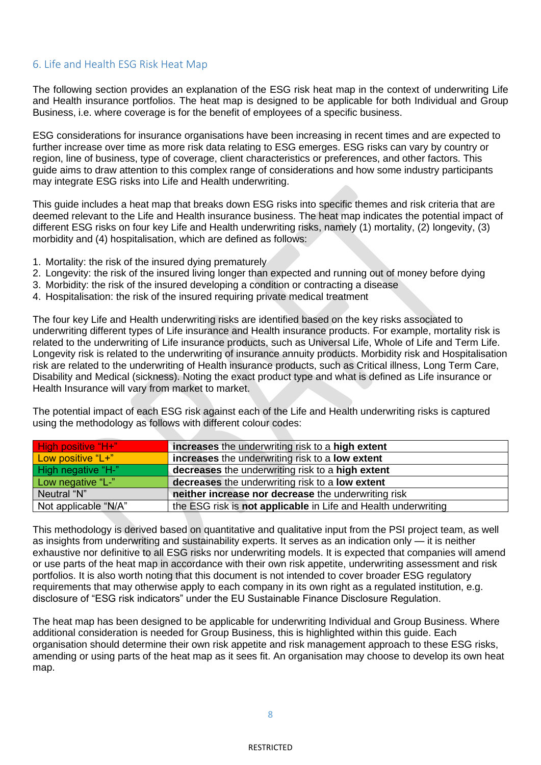### 6. Life and Health ESG Risk Heat Map

The following section provides an explanation of the ESG risk heat map in the context of underwriting Life and Health insurance portfolios. The heat map is designed to be applicable for both Individual and Group Business, i.e. where coverage is for the benefit of employees of a specific business.

ESG considerations for insurance organisations have been increasing in recent times and are expected to further increase over time as more risk data relating to ESG emerges. ESG risks can vary by country or region, line of business, type of coverage, client characteristics or preferences, and other factors. This guide aims to draw attention to this complex range of considerations and how some industry participants may integrate ESG risks into Life and Health underwriting.

This guide includes a heat map that breaks down ESG risks into specific themes and risk criteria that are deemed relevant to the Life and Health insurance business. The heat map indicates the potential impact of different ESG risks on four key Life and Health underwriting risks, namely (1) mortality, (2) longevity, (3) morbidity and (4) hospitalisation, which are defined as follows:

- 1. Mortality: the risk of the insured dying prematurely
- 2. Longevity: the risk of the insured living longer than expected and running out of money before dying
- 3. Morbidity: the risk of the insured developing a condition or contracting a disease
- 4. Hospitalisation: the risk of the insured requiring private medical treatment

The four key Life and Health underwriting risks are identified based on the key risks associated to underwriting different types of Life insurance and Health insurance products. For example, mortality risk is related to the underwriting of Life insurance products, such as Universal Life, Whole of Life and Term Life. Longevity risk is related to the underwriting of insurance annuity products. Morbidity risk and Hospitalisation risk are related to the underwriting of Health insurance products, such as Critical illness, Long Term Care, Disability and Medical (sickness). Noting the exact product type and what is defined as Life insurance or Health Insurance will vary from market to market.

The potential impact of each ESG risk against each of the Life and Health underwriting risks is captured using the methodology as follows with different colour codes:

| <b>High positive "H+"</b> | increases the underwriting risk to a high extent               |
|---------------------------|----------------------------------------------------------------|
| Low positive "L+"         | increases the underwriting risk to a low extent                |
| High negative "H-"        | decreases the underwriting risk to a high extent               |
| Low negative "L-"         | decreases the underwriting risk to a low extent                |
| Neutral "N"               | neither increase nor decrease the underwriting risk            |
| Not applicable "N/A"      | the ESG risk is not applicable in Life and Health underwriting |

This methodology is derived based on quantitative and qualitative input from the PSI project team, as well as insights from underwriting and sustainability experts. It serves as an indication only — it is neither exhaustive nor definitive to all ESG risks nor underwriting models. It is expected that companies will amend or use parts of the heat map in accordance with their own risk appetite, underwriting assessment and risk portfolios. It is also worth noting that this document is not intended to cover broader ESG regulatory requirements that may otherwise apply to each company in its own right as a regulated institution, e.g. disclosure of "ESG risk indicators" under the EU Sustainable Finance Disclosure Regulation.

The heat map has been designed to be applicable for underwriting Individual and Group Business. Where additional consideration is needed for Group Business, this is highlighted within this guide. Each organisation should determine their own risk appetite and risk management approach to these ESG risks, amending or using parts of the heat map as it sees fit. An organisation may choose to develop its own heat map.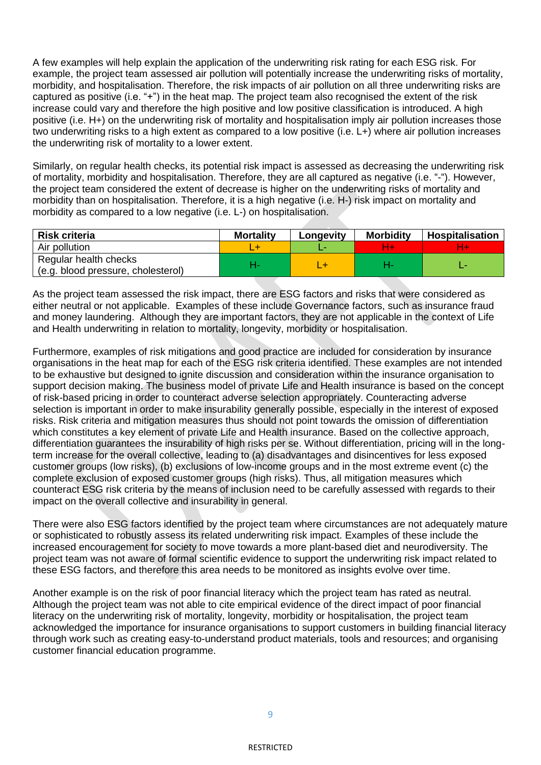A few examples will help explain the application of the underwriting risk rating for each ESG risk. For example, the project team assessed air pollution will potentially increase the underwriting risks of mortality, morbidity, and hospitalisation. Therefore, the risk impacts of air pollution on all three underwriting risks are captured as positive (i.e. "+") in the heat map. The project team also recognised the extent of the risk increase could vary and therefore the high positive and low positive classification is introduced. A high positive (i.e. H+) on the underwriting risk of mortality and hospitalisation imply air pollution increases those two underwriting risks to a high extent as compared to a low positive (i.e. L+) where air pollution increases the underwriting risk of mortality to a lower extent.

Similarly, on regular health checks, its potential risk impact is assessed as decreasing the underwriting risk of mortality, morbidity and hospitalisation. Therefore, they are all captured as negative (i.e. "-"). However, the project team considered the extent of decrease is higher on the underwriting risks of mortality and morbidity than on hospitalisation. Therefore, it is a high negative (i.e. H-) risk impact on mortality and morbidity as compared to a low negative (i.e. L-) on hospitalisation.

| <b>Risk criteria</b>                                        | <b>Mortality</b> | Longevity | <b>Morbidity</b> | Hospitalisation |
|-------------------------------------------------------------|------------------|-----------|------------------|-----------------|
| Air pollution                                               |                  |           |                  |                 |
| Regular health checks<br>(e.g. blood pressure, cholesterol) |                  |           |                  |                 |

As the project team assessed the risk impact, there are ESG factors and risks that were considered as either neutral or not applicable. Examples of these include Governance factors, such as insurance fraud and money laundering. Although they are important factors, they are not applicable in the context of Life and Health underwriting in relation to mortality, longevity, morbidity or hospitalisation.

Furthermore, examples of risk mitigations and good practice are included for consideration by insurance organisations in the heat map for each of the ESG risk criteria identified. These examples are not intended to be exhaustive but designed to ignite discussion and consideration within the insurance organisation to support decision making. The business model of private Life and Health insurance is based on the concept of risk-based pricing in order to counteract adverse selection appropriately. Counteracting adverse selection is important in order to make insurability generally possible, especially in the interest of exposed risks. Risk criteria and mitigation measures thus should not point towards the omission of differentiation which constitutes a key element of private Life and Health insurance. Based on the collective approach, differentiation guarantees the insurability of high risks per se. Without differentiation, pricing will in the longterm increase for the overall collective, leading to (a) disadvantages and disincentives for less exposed customer groups (low risks), (b) exclusions of low-income groups and in the most extreme event (c) the complete exclusion of exposed customer groups (high risks). Thus, all mitigation measures which counteract ESG risk criteria by the means of inclusion need to be carefully assessed with regards to their impact on the overall collective and insurability in general.

There were also ESG factors identified by the project team where circumstances are not adequately mature or sophisticated to robustly assess its related underwriting risk impact. Examples of these include the increased encouragement for society to move towards a more plant-based diet and neurodiversity. The project team was not aware of formal scientific evidence to support the underwriting risk impact related to these ESG factors, and therefore this area needs to be monitored as insights evolve over time.

Another example is on the risk of poor financial literacy which the project team has rated as neutral. Although the project team was not able to cite empirical evidence of the direct impact of poor financial literacy on the underwriting risk of mortality, longevity, morbidity or hospitalisation, the project team acknowledged the importance for insurance organisations to support customers in building financial literacy through work such as creating easy-to-understand product materials, tools and resources; and organising customer financial education programme.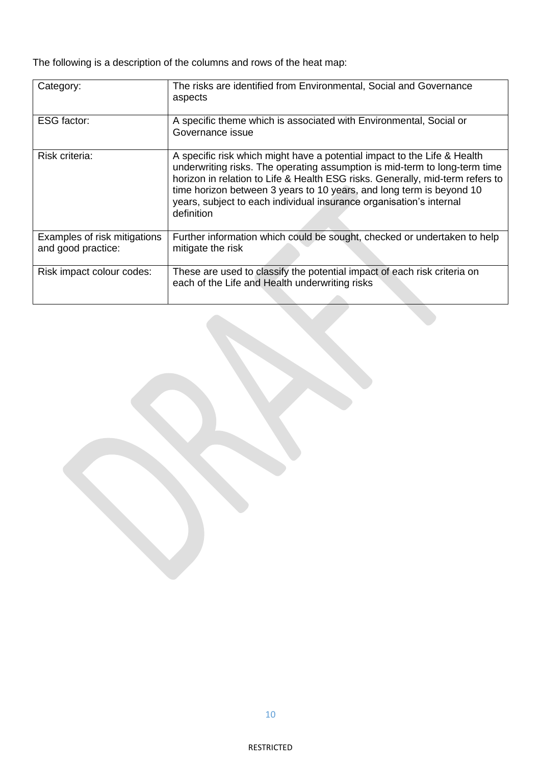The following is a description of the columns and rows of the heat map:

| Category:                                          | The risks are identified from Environmental, Social and Governance<br>aspects                                                                                                                                                                                                                                                                                                                        |
|----------------------------------------------------|------------------------------------------------------------------------------------------------------------------------------------------------------------------------------------------------------------------------------------------------------------------------------------------------------------------------------------------------------------------------------------------------------|
| <b>ESG</b> factor:                                 | A specific theme which is associated with Environmental, Social or<br>Governance issue                                                                                                                                                                                                                                                                                                               |
| Risk criteria:                                     | A specific risk which might have a potential impact to the Life & Health<br>underwriting risks. The operating assumption is mid-term to long-term time<br>horizon in relation to Life & Health ESG risks. Generally, mid-term refers to<br>time horizon between 3 years to 10 years, and long term is beyond 10<br>years, subject to each individual insurance organisation's internal<br>definition |
| Examples of risk mitigations<br>and good practice: | Further information which could be sought, checked or undertaken to help<br>mitigate the risk                                                                                                                                                                                                                                                                                                        |
| Risk impact colour codes:                          | These are used to classify the potential impact of each risk criteria on<br>each of the Life and Health underwriting risks                                                                                                                                                                                                                                                                           |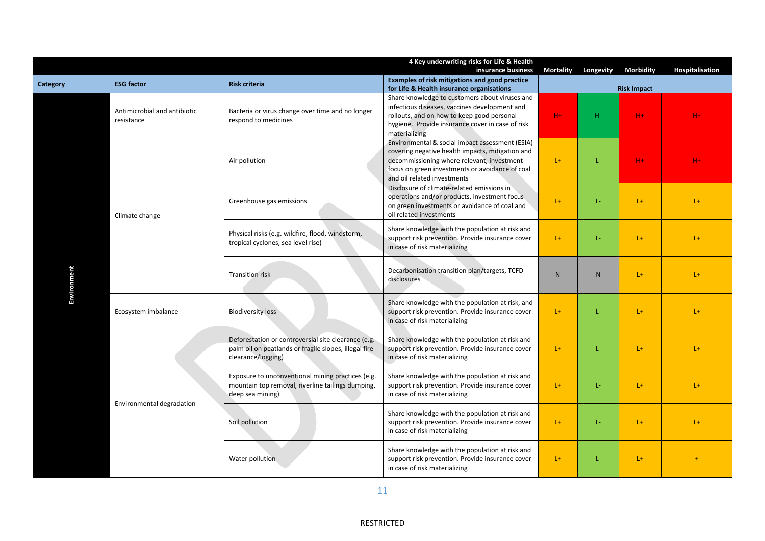|             |                                            |                                                                                                                                    | 4 Key underwriting risks for Life & Health<br>insurance business                                                                                                                                                                    | <b>Mortality</b> | Longevity          | <b>Morbidity</b> | Hospitalisation |  |
|-------------|--------------------------------------------|------------------------------------------------------------------------------------------------------------------------------------|-------------------------------------------------------------------------------------------------------------------------------------------------------------------------------------------------------------------------------------|------------------|--------------------|------------------|-----------------|--|
| Category    | <b>ESG factor</b>                          | <b>Risk criteria</b>                                                                                                               | Examples of risk mitigations and good practice<br>for Life & Health insurance organisations                                                                                                                                         |                  | <b>Risk Impact</b> |                  |                 |  |
|             | Antimicrobial and antibiotic<br>resistance | Bacteria or virus change over time and no longer<br>respond to medicines                                                           | Share knowledge to customers about viruses and<br>infectious diseases, vaccines development and<br>rollouts, and on how to keep good personal<br>hygiene. Provide insurance cover in case of risk<br>materializing                  | $H +$            | $H-$               | $H +$            | $H +$           |  |
|             |                                            | Air pollution                                                                                                                      | Environmental & social impact assessment (ESIA)<br>covering negative health impacts, mitigation and<br>decommissioning where relevant, investment<br>focus on green investments or avoidance of coal<br>and oil related investments | $L+$             | L-                 | $H +$            | $H +$           |  |
|             | Climate change                             | Greenhouse gas emissions                                                                                                           | Disclosure of climate-related emissions in<br>operations and/or products, investment focus<br>on green investments or avoidance of coal and<br>oil related investments                                                              | $L +$            | L-                 | $L+$             | $L +$           |  |
|             |                                            | Physical risks (e.g. wildfire, flood, windstorm,<br>tropical cyclones, sea level rise)                                             | Share knowledge with the population at risk and<br>support risk prevention. Provide insurance cover<br>in case of risk materializing                                                                                                | $L +$            | L-                 | $L+$             | $L +$           |  |
| Environment |                                            | <b>Transition risk</b>                                                                                                             | Decarbonisation transition plan/targets, TCFD<br>disclosures                                                                                                                                                                        | N                | N                  | $L+$             | $L +$           |  |
|             | Ecosystem imbalance                        | <b>Biodiversity loss</b>                                                                                                           | Share knowledge with the population at risk, and<br>support risk prevention. Provide insurance cover<br>in case of risk materializing                                                                                               | $L+$             | L-                 | $L+$             | $L +$           |  |
|             |                                            | Deforestation or controversial site clearance (e.g.<br>palm oil on peatlands or fragile slopes, illegal fire<br>clearance/logging) | Share knowledge with the population at risk and<br>support risk prevention. Provide insurance cover<br>in case of risk materializing                                                                                                | $L+$             | L-                 | $L +$            | $L+$            |  |
|             | Environmental degradation                  | Exposure to unconventional mining practices (e.g.<br>mountain top removal, riverline tailings dumping,<br>deep sea mining)         | Share knowledge with the population at risk and<br>support risk prevention. Provide insurance cover<br>in case of risk materializing                                                                                                | $L+$             | $L -$              | $L +$            | $L +$           |  |
|             |                                            | Soil pollution                                                                                                                     | Share knowledge with the population at risk and<br>support risk prevention. Provide insurance cover<br>in case of risk materializing                                                                                                | $L+$             | Ŀ.                 | $L +$            | $L +$           |  |
|             |                                            | Water pollution                                                                                                                    | Share knowledge with the population at risk and<br>support risk prevention. Provide insurance cover<br>in case of risk materializing                                                                                                | $L+$             | Ŀ.                 | $L+$             |                 |  |

11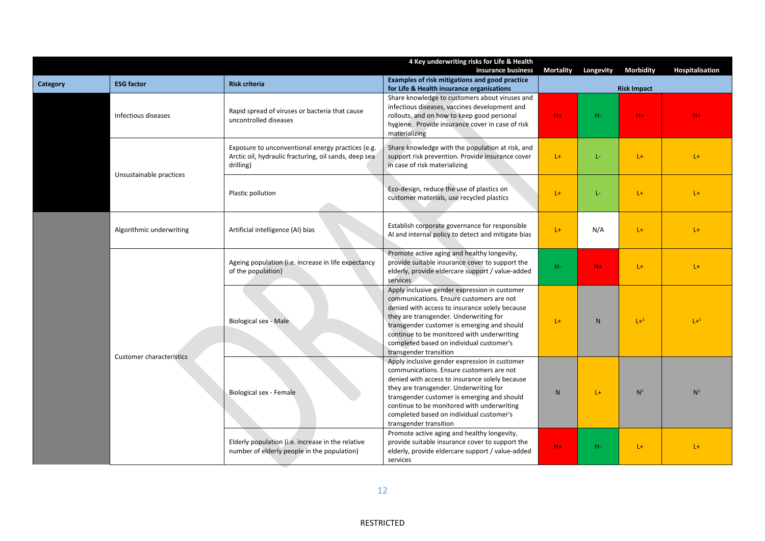|                                                      |                                                                                                  |                                                                                                                                                                | 4 Key underwriting risks for Life & Health<br>insurance business                                                                                                                                                                                                                                                                                         | <b>Mortality</b> | Longevity    | <b>Morbidity</b>   | Hospitalisation |
|------------------------------------------------------|--------------------------------------------------------------------------------------------------|----------------------------------------------------------------------------------------------------------------------------------------------------------------|----------------------------------------------------------------------------------------------------------------------------------------------------------------------------------------------------------------------------------------------------------------------------------------------------------------------------------------------------------|------------------|--------------|--------------------|-----------------|
| <b>Category</b>                                      | <b>ESG factor</b>                                                                                | <b>Risk criteria</b>                                                                                                                                           | Examples of risk mitigations and good practice<br>for Life & Health insurance organisations                                                                                                                                                                                                                                                              |                  |              | <b>Risk Impact</b> |                 |
|                                                      | Infectious diseases                                                                              | Rapid spread of viruses or bacteria that cause<br>uncontrolled diseases                                                                                        | Share knowledge to customers about viruses and<br>infectious diseases, vaccines development and<br>rollouts, and on how to keep good personal<br>hygiene. Provide insurance cover in case of risk<br>materializing                                                                                                                                       | $H +$            | $H-$         | $H +$              | $H +$           |
|                                                      | Unsustainable practices                                                                          | Exposure to unconventional energy practices (e.g.<br>Arctic oil, hydraulic fracturing, oil sands, deep sea<br>drilling)                                        | Share knowledge with the population at risk, and<br>support risk prevention. Provide insurance cover<br>in case of risk materializing                                                                                                                                                                                                                    | $L +$            | L-           | $L +$              | $L +$           |
|                                                      |                                                                                                  | Plastic pollution                                                                                                                                              | Eco-design, reduce the use of plastics on<br>customer materials, use recycled plastics                                                                                                                                                                                                                                                                   | $L +$            | Ŀ.           | $L +$              | $L +$           |
| Algorithmic underwriting<br>Customer characteristics |                                                                                                  | Artificial intelligence (AI) bias                                                                                                                              | Establish corporate governance for responsible<br>AI and internal policy to detect and mitigate bias                                                                                                                                                                                                                                                     | $L+$             | N/A          | $L +$              | $L +$           |
|                                                      |                                                                                                  | Ageing population (i.e. increase in life expectancy<br>of the population)                                                                                      | Promote active aging and healthy longevity,<br>provide suitable insurance cover to support the<br>elderly, provide eldercare support / value-added<br>services                                                                                                                                                                                           | $H-$             | $H +$        | $L +$              | $L+$            |
|                                                      |                                                                                                  | Biological sex - Male                                                                                                                                          | Apply inclusive gender expression in customer<br>communications. Ensure customers are not<br>denied with access to insurance solely because<br>they are transgender. Underwriting for<br>transgender customer is emerging and should<br>continue to be monitored with underwriting<br>completed based on individual customer's<br>transgender transition | $L+$             | $\mathsf{N}$ | $L+1$              | $1 + 1$         |
|                                                      |                                                                                                  | Biological sex - Female                                                                                                                                        | Apply inclusive gender expression in customer<br>communications. Ensure customers are not<br>denied with access to insurance solely because<br>they are transgender. Underwriting for<br>transgender customer is emerging and should<br>continue to be monitored with underwriting<br>completed based on individual customer's<br>transgender transition | N                | $L +$        | N <sup>1</sup>     | N <sup>1</sup>  |
|                                                      | Elderly population (i.e. increase in the relative<br>number of elderly people in the population) | Promote active aging and healthy longevity,<br>provide suitable insurance cover to support the<br>elderly, provide eldercare support / value-added<br>services | $H +$                                                                                                                                                                                                                                                                                                                                                    | H-               | $L +$        | $L+$               |                 |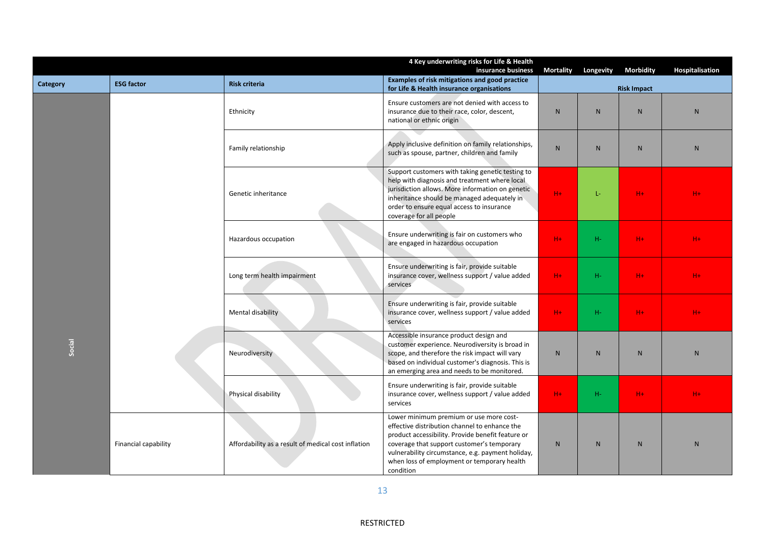|          |                      |                                                     | 4 Key underwriting risks for Life & Health<br>insurance business                                                                                                                                                                                                                                             | <b>Mortality</b> | Longevity      | <b>Morbidity</b>   | Hospitalisation |
|----------|----------------------|-----------------------------------------------------|--------------------------------------------------------------------------------------------------------------------------------------------------------------------------------------------------------------------------------------------------------------------------------------------------------------|------------------|----------------|--------------------|-----------------|
| Category | <b>ESG factor</b>    | <b>Risk criteria</b>                                | Examples of risk mitigations and good practice<br>for Life & Health insurance organisations                                                                                                                                                                                                                  |                  |                | <b>Risk Impact</b> |                 |
|          |                      | Ethnicity                                           | Ensure customers are not denied with access to<br>insurance due to their race, color, descent,<br>national or ethnic origin                                                                                                                                                                                  | $\mathsf{N}$     | $\mathsf{N}$   | ${\sf N}$          | $\mathsf{N}$    |
|          |                      | Family relationship                                 | Apply inclusive definition on family relationships,<br>such as spouse, partner, children and family                                                                                                                                                                                                          | N                | N              | N                  | ${\sf N}$       |
|          |                      | Genetic inheritance                                 | Support customers with taking genetic testing to<br>help with diagnosis and treatment where local<br>jurisdiction allows. More information on genetic<br>inheritance should be managed adequately in<br>order to ensure equal access to insurance<br>coverage for all people                                 | $H +$            | L-             | $H +$              | $H +$           |
|          |                      | Hazardous occupation                                | Ensure underwriting is fair on customers who<br>are engaged in hazardous occupation                                                                                                                                                                                                                          | $H +$            | $H-$           | $H +$              | $H +$           |
|          |                      | Long term health impairment                         | Ensure underwriting is fair, provide suitable<br>insurance cover, wellness support / value added<br>services                                                                                                                                                                                                 | $H +$            | $H-$           | H+                 | $H +$           |
|          |                      | Mental disability                                   | Ensure underwriting is fair, provide suitable<br>insurance cover, wellness support / value added<br>services                                                                                                                                                                                                 | $H +$            | $H-$           | H+                 | $H +$           |
| Social   |                      | Neurodiversity                                      | Accessible insurance product design and<br>customer experience. Neurodiversity is broad in<br>scope, and therefore the risk impact will vary<br>based on individual customer's diagnosis. This is<br>an emerging area and needs to be monitored.                                                             | N                | N              | $\mathsf{N}$       | $\mathsf{N}$    |
|          |                      | Physical disability                                 | Ensure underwriting is fair, provide suitable<br>insurance cover, wellness support / value added<br>services                                                                                                                                                                                                 | $H +$            | $H-$           | $H +$              | $H +$           |
|          | Financial capability | Affordability as a result of medical cost inflation | Lower minimum premium or use more cost-<br>effective distribution channel to enhance the<br>product accessibility. Provide benefit feature or<br>coverage that support customer's temporary<br>vulnerability circumstance, e.g. payment holiday,<br>when loss of employment or temporary health<br>condition | N                | N <sub>1</sub> | ${\sf N}$          | $\mathsf{N}$    |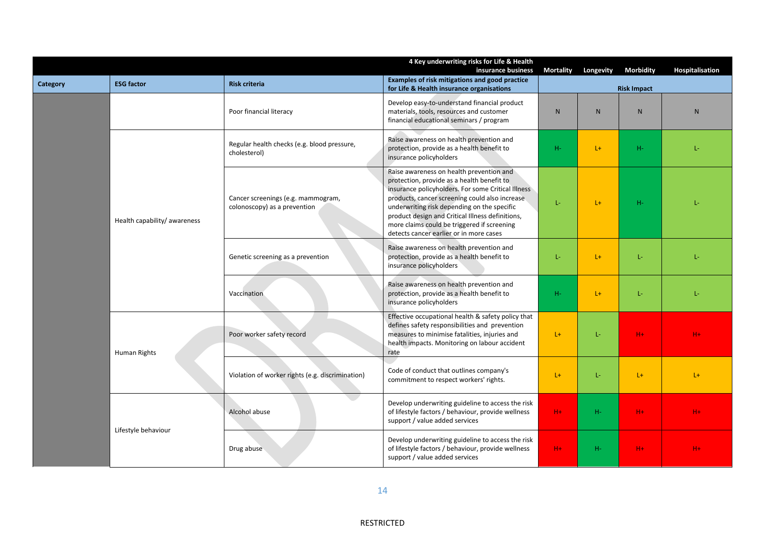|                                     |                              |                                                                    | 4 Key underwriting risks for Life & Health<br>insurance business                                                                                                                                                                                                                                                                                                                            | <b>Mortality</b> | Longevity          | <b>Morbidity</b> | Hospitalisation |  |
|-------------------------------------|------------------------------|--------------------------------------------------------------------|---------------------------------------------------------------------------------------------------------------------------------------------------------------------------------------------------------------------------------------------------------------------------------------------------------------------------------------------------------------------------------------------|------------------|--------------------|------------------|-----------------|--|
| Category                            | <b>ESG factor</b>            | <b>Risk criteria</b>                                               | Examples of risk mitigations and good practice<br>for Life & Health insurance organisations                                                                                                                                                                                                                                                                                                 |                  | <b>Risk Impact</b> |                  |                 |  |
|                                     |                              | Poor financial literacy                                            | Develop easy-to-understand financial product<br>materials, tools, resources and customer<br>financial educational seminars / program                                                                                                                                                                                                                                                        | N                | $\mathsf{N}$       | $\mathsf{N}$     | N               |  |
|                                     |                              | Regular health checks (e.g. blood pressure,<br>cholesterol)        | Raise awareness on health prevention and<br>protection, provide as a health benefit to<br>insurance policyholders                                                                                                                                                                                                                                                                           | H-               | $L+$               | $H-$             | Ŀ.              |  |
|                                     | Health capability/ awareness | Cancer screenings (e.g. mammogram,<br>colonoscopy) as a prevention | Raise awareness on health prevention and<br>protection, provide as a health benefit to<br>insurance policyholders. For some Critical Illness<br>products, cancer screening could also increase<br>underwriting risk depending on the specific<br>product design and Critical Illness definitions,<br>more claims could be triggered if screening<br>detects cancer earlier or in more cases | Ŀ.               | $L +$              | $H-$             |                 |  |
|                                     |                              | Genetic screening as a prevention                                  | Raise awareness on health prevention and<br>protection, provide as a health benefit to<br>insurance policyholders                                                                                                                                                                                                                                                                           | Ŀ                | $L+$               | Ŀ.               | Ŀ.              |  |
| Human Rights<br>Lifestyle behaviour |                              | Vaccination                                                        | Raise awareness on health prevention and<br>protection, provide as a health benefit to<br>insurance policyholders                                                                                                                                                                                                                                                                           | $H-$             | $L +$              | L-               | L-              |  |
|                                     |                              | Poor worker safety record                                          | Effective occupational health & safety policy that<br>defines safety responsibilities and prevention<br>measures to minimise fatalities, injuries and<br>health impacts. Monitoring on labour accident<br>rate                                                                                                                                                                              | $L +$            | L-                 | $H +$            | H+              |  |
|                                     |                              | Violation of worker rights (e.g. discrimination)                   | Code of conduct that outlines company's<br>commitment to respect workers' rights.                                                                                                                                                                                                                                                                                                           | $L+$             | Ŀ.                 | $L +$            | $L +$           |  |
|                                     |                              | Alcohol abuse                                                      | Develop underwriting guideline to access the risk<br>of lifestyle factors / behaviour, provide wellness<br>support / value added services                                                                                                                                                                                                                                                   | $H +$            | H-                 | $H +$            | $H +$           |  |
|                                     |                              | Drug abuse                                                         | Develop underwriting guideline to access the risk<br>of lifestyle factors / behaviour, provide wellness<br>support / value added services                                                                                                                                                                                                                                                   | $H +$            | H-                 | $H +$            | $H +$           |  |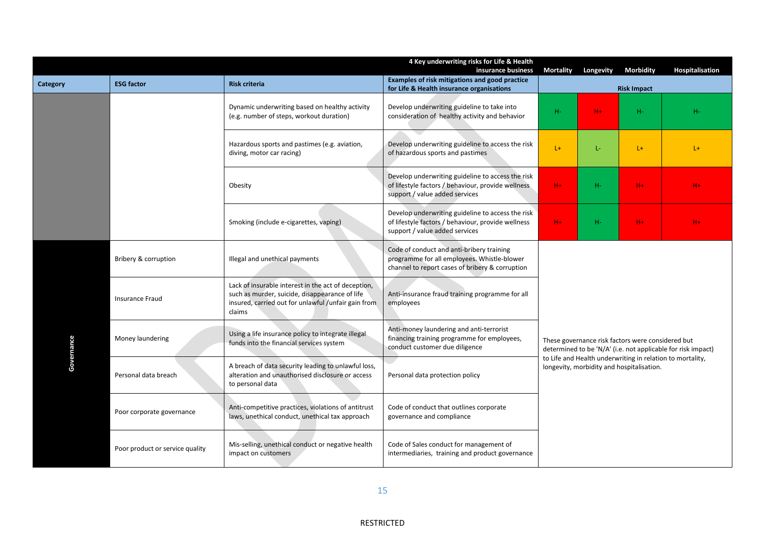|            |                                 |                                                                                                                                                                        | 4 Key underwriting risks for Life & Health<br>insurance business                                                                            | <b>Mortality</b>                                                                                                                                                                                                            | Longevity | <b>Morbidity</b> | <b>Hospitalisation</b> |  |
|------------|---------------------------------|------------------------------------------------------------------------------------------------------------------------------------------------------------------------|---------------------------------------------------------------------------------------------------------------------------------------------|-----------------------------------------------------------------------------------------------------------------------------------------------------------------------------------------------------------------------------|-----------|------------------|------------------------|--|
| Category   | <b>ESG factor</b>               | <b>Risk criteria</b>                                                                                                                                                   | <b>Examples of risk mitigations and good practice</b><br>for Life & Health insurance organisations                                          | <b>Risk Impact</b>                                                                                                                                                                                                          |           |                  |                        |  |
|            |                                 | Dynamic underwriting based on healthy activity<br>(e.g. number of steps, workout duration)                                                                             | Develop underwriting guideline to take into<br>consideration of healthy activity and behavior                                               | $H-$                                                                                                                                                                                                                        | $H +$     | H-               | н-                     |  |
|            |                                 | Hazardous sports and pastimes (e.g. aviation,<br>diving, motor car racing)                                                                                             | Develop underwriting guideline to access the risk<br>of hazardous sports and pastimes                                                       | $L+$                                                                                                                                                                                                                        | L-        | $L +$            | $L +$                  |  |
|            |                                 | Obesity                                                                                                                                                                | Develop underwriting guideline to access the risk<br>of lifestyle factors / behaviour, provide wellness<br>support / value added services   | $H +$                                                                                                                                                                                                                       | $H-$      | $H +$            | $H +$                  |  |
|            |                                 | Smoking (include e-cigarettes, vaping)                                                                                                                                 | Develop underwriting guideline to access the risk<br>of lifestyle factors / behaviour, provide wellness<br>support / value added services   | $H +$                                                                                                                                                                                                                       | $H-$      | $H +$            | $H +$                  |  |
|            | Bribery & corruption            | Illegal and unethical payments                                                                                                                                         | Code of conduct and anti-bribery training<br>programme for all employees. Whistle-blower<br>channel to report cases of bribery & corruption |                                                                                                                                                                                                                             |           |                  |                        |  |
|            | <b>Insurance Fraud</b>          | Lack of insurable interest in the act of deception,<br>such as murder, suicide, disappearance of life<br>insured, carried out for unlawful /unfair gain from<br>claims | Anti-insurance fraud training programme for all<br>employees                                                                                | These governance risk factors were considered but<br>determined to be 'N/A' (i.e. not applicable for risk impact)<br>to Life and Health underwriting in relation to mortality,<br>longevity, morbidity and hospitalisation. |           |                  |                        |  |
| Governance | Money laundering                | Using a life insurance policy to integrate illegal<br>funds into the financial services system                                                                         | Anti-money laundering and anti-terrorist<br>financing training programme for employees,<br>conduct customer due diligence                   |                                                                                                                                                                                                                             |           |                  |                        |  |
|            | Personal data breach            | A breach of data security leading to unlawful loss,<br>alteration and unauthorised disclosure or access<br>to personal data                                            | Personal data protection policy                                                                                                             |                                                                                                                                                                                                                             |           |                  |                        |  |
|            | Poor corporate governance       | Anti-competitive practices, violations of antitrust<br>laws, unethical conduct, unethical tax approach                                                                 | Code of conduct that outlines corporate<br>governance and compliance                                                                        |                                                                                                                                                                                                                             |           |                  |                        |  |
|            | Poor product or service quality | Mis-selling, unethical conduct or negative health<br>impact on customers                                                                                               | Code of Sales conduct for management of<br>intermediaries, training and product governance                                                  |                                                                                                                                                                                                                             |           |                  |                        |  |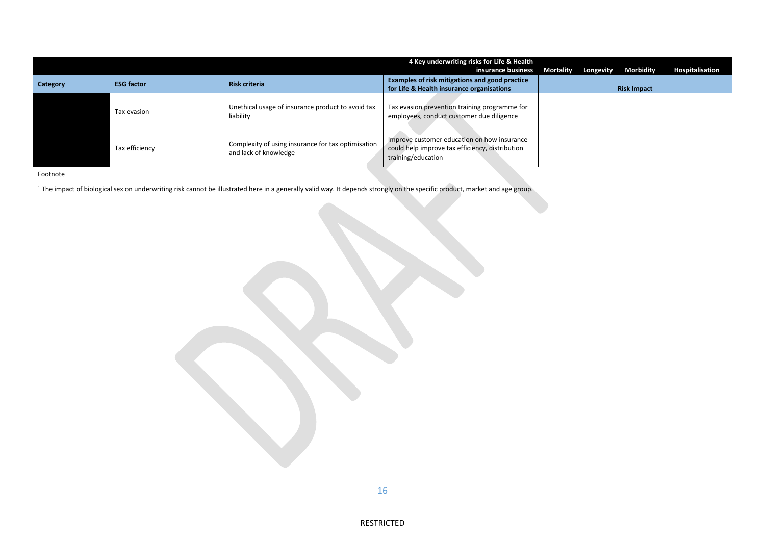|          |                   |                                                                             | 4 Key underwriting risks for Life & Health<br>insurance business                                                     | Mortality | Longevity | Morbidity          | <b>Hospitalisation</b> |
|----------|-------------------|-----------------------------------------------------------------------------|----------------------------------------------------------------------------------------------------------------------|-----------|-----------|--------------------|------------------------|
| Category | <b>ESG factor</b> | <b>Risk criteria</b>                                                        | Examples of risk mitigations and good practice<br>for Life & Health insurance organisations                          |           |           | <b>Risk Impact</b> |                        |
|          | Tax evasion       | Unethical usage of insurance product to avoid tax<br>liability              | Tax evasion prevention training programme for<br>employees, conduct customer due diligence                           |           |           |                    |                        |
|          | Tax efficiency    | Complexity of using insurance for tax optimisation<br>and lack of knowledge | Improve customer education on how insurance<br>could help improve tax efficiency, distribution<br>training/education |           |           |                    |                        |

Footnote

<sup>1</sup> The impact of biological sex on underwriting risk cannot be illustrated here in a generally valid way. It depends strongly on the specific product, market and age group.

RESTRICTED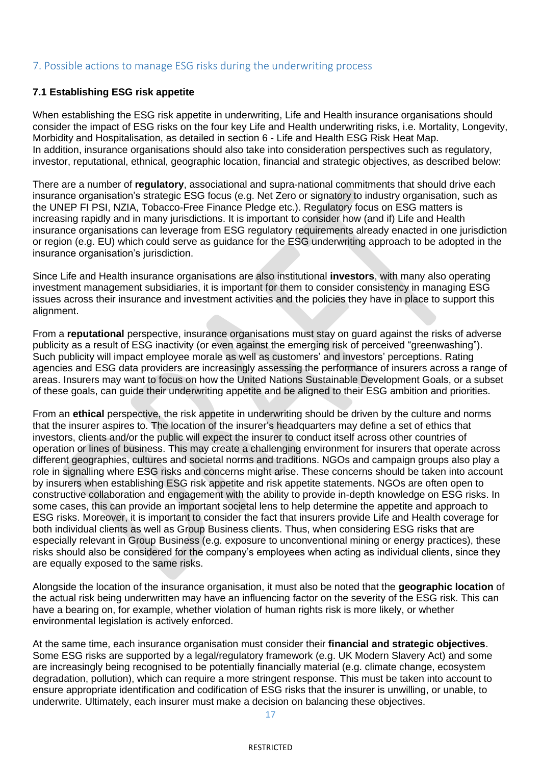## 7. Possible actions to manage ESG risks during the underwriting process

### **7.1 Establishing ESG risk appetite**

When establishing the ESG risk appetite in underwriting, Life and Health insurance organisations should consider the impact of ESG risks on the four key Life and Health underwriting risks, i.e. Mortality, Longevity, Morbidity and Hospitalisation, as detailed in section 6 - Life and Health ESG Risk Heat Map. In addition, insurance organisations should also take into consideration perspectives such as regulatory, investor, reputational, ethnical, geographic location, financial and strategic objectives, as described below:

There are a number of **regulatory**, associational and supra-national commitments that should drive each insurance organisation's strategic ESG focus (e.g. Net Zero or signatory to industry organisation, such as the UNEP FI PSI, NZIA, Tobacco-Free Finance Pledge etc.). Regulatory focus on ESG matters is increasing rapidly and in many jurisdictions. It is important to consider how (and if) Life and Health insurance organisations can leverage from ESG regulatory requirements already enacted in one jurisdiction or region (e.g. EU) which could serve as guidance for the ESG underwriting approach to be adopted in the insurance organisation's jurisdiction.

Since Life and Health insurance organisations are also institutional **investors**, with many also operating investment management subsidiaries, it is important for them to consider consistency in managing ESG issues across their insurance and investment activities and the policies they have in place to support this alignment.

From a **reputational** perspective, insurance organisations must stay on guard against the risks of adverse publicity as a result of ESG inactivity (or even against the emerging risk of perceived "greenwashing"). Such publicity will impact employee morale as well as customers' and investors' perceptions. Rating agencies and ESG data providers are increasingly assessing the performance of insurers across a range of areas. Insurers may want to focus on how the United Nations Sustainable Development Goals, or a subset of these goals, can guide their underwriting appetite and be aligned to their ESG ambition and priorities.

From an **ethical** perspective, the risk appetite in underwriting should be driven by the culture and norms that the insurer aspires to. The location of the insurer's headquarters may define a set of ethics that investors, clients and/or the public will expect the insurer to conduct itself across other countries of operation or lines of business. This may create a challenging environment for insurers that operate across different geographies, cultures and societal norms and traditions. NGOs and campaign groups also play a role in signalling where ESG risks and concerns might arise. These concerns should be taken into account by insurers when establishing ESG risk appetite and risk appetite statements. NGOs are often open to constructive collaboration and engagement with the ability to provide in-depth knowledge on ESG risks. In some cases, this can provide an important societal lens to help determine the appetite and approach to ESG risks. Moreover, it is important to consider the fact that insurers provide Life and Health coverage for both individual clients as well as Group Business clients. Thus, when considering ESG risks that are especially relevant in Group Business (e.g. exposure to unconventional mining or energy practices), these risks should also be considered for the company's employees when acting as individual clients, since they are equally exposed to the same risks.

Alongside the location of the insurance organisation, it must also be noted that the **geographic location** of the actual risk being underwritten may have an influencing factor on the severity of the ESG risk. This can have a bearing on, for example, whether violation of human rights risk is more likely, or whether environmental legislation is actively enforced.

At the same time, each insurance organisation must consider their **financial and strategic objectives**. Some ESG risks are supported by a legal/regulatory framework (e.g. UK Modern Slavery Act) and some are increasingly being recognised to be potentially financially material (e.g. climate change, ecosystem degradation, pollution), which can require a more stringent response. This must be taken into account to ensure appropriate identification and codification of ESG risks that the insurer is unwilling, or unable, to underwrite. Ultimately, each insurer must make a decision on balancing these objectives.

17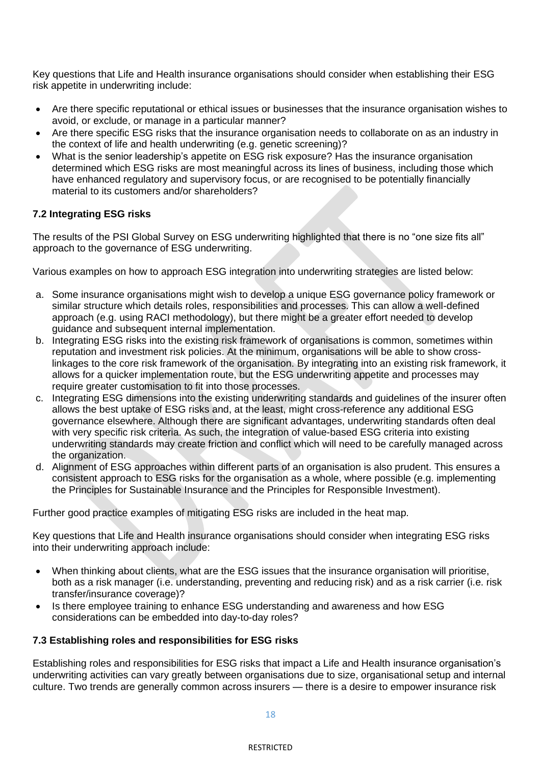Key questions that Life and Health insurance organisations should consider when establishing their ESG risk appetite in underwriting include:

- Are there specific reputational or ethical issues or businesses that the insurance organisation wishes to avoid, or exclude, or manage in a particular manner?
- Are there specific ESG risks that the insurance organisation needs to collaborate on as an industry in the context of life and health underwriting (e.g. genetic screening)?
- What is the senior leadership's appetite on ESG risk exposure? Has the insurance organisation determined which ESG risks are most meaningful across its lines of business, including those which have enhanced regulatory and supervisory focus, or are recognised to be potentially financially material to its customers and/or shareholders?

### **7.2 Integrating ESG risks**

The results of the PSI Global Survey on ESG underwriting highlighted that there is no "one size fits all" approach to the governance of ESG underwriting.

Various examples on how to approach ESG integration into underwriting strategies are listed below:

- a. Some insurance organisations might wish to develop a unique ESG governance policy framework or similar structure which details roles, responsibilities and processes. This can allow a well-defined approach (e.g. using RACI methodology), but there might be a greater effort needed to develop guidance and subsequent internal implementation.
- b. Integrating ESG risks into the existing risk framework of organisations is common, sometimes within reputation and investment risk policies. At the minimum, organisations will be able to show crosslinkages to the core risk framework of the organisation. By integrating into an existing risk framework, it allows for a quicker implementation route, but the ESG underwriting appetite and processes may require greater customisation to fit into those processes.
- c. Integrating ESG dimensions into the existing underwriting standards and guidelines of the insurer often allows the best uptake of ESG risks and, at the least, might cross-reference any additional ESG governance elsewhere. Although there are significant advantages, underwriting standards often deal with very specific risk criteria. As such, the integration of value-based ESG criteria into existing underwriting standards may create friction and conflict which will need to be carefully managed across the organization.
- d. Alignment of ESG approaches within different parts of an organisation is also prudent. This ensures a consistent approach to ESG risks for the organisation as a whole, where possible (e.g. implementing the Principles for Sustainable Insurance and the Principles for Responsible Investment).

Further good practice examples of mitigating ESG risks are included in the heat map.

Key questions that Life and Health insurance organisations should consider when integrating ESG risks into their underwriting approach include:

- When thinking about clients, what are the ESG issues that the insurance organisation will prioritise, both as a risk manager (i.e. understanding, preventing and reducing risk) and as a risk carrier (i.e. risk transfer/insurance coverage)?
- Is there employee training to enhance ESG understanding and awareness and how ESG considerations can be embedded into day-to-day roles?

#### **7.3 Establishing roles and responsibilities for ESG risks**

Establishing roles and responsibilities for ESG risks that impact a Life and Health insurance organisation's underwriting activities can vary greatly between organisations due to size, organisational setup and internal culture. Two trends are generally common across insurers — there is a desire to empower insurance risk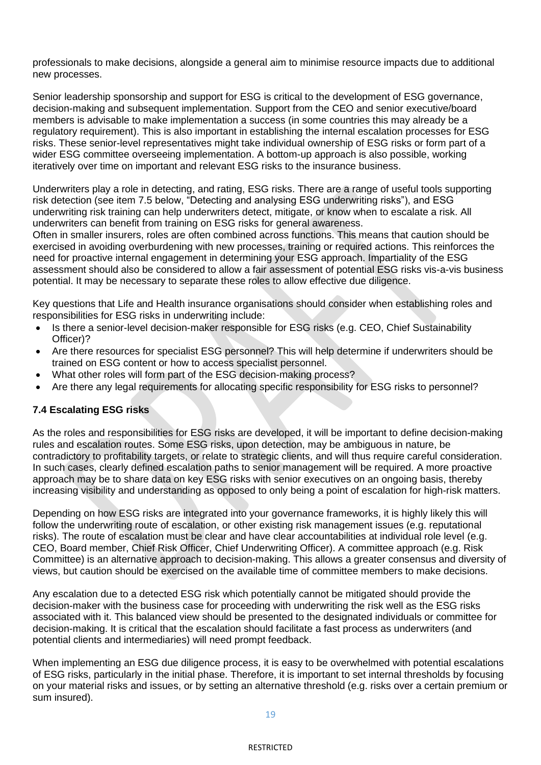professionals to make decisions, alongside a general aim to minimise resource impacts due to additional new processes.

Senior leadership sponsorship and support for ESG is critical to the development of ESG governance, decision-making and subsequent implementation. Support from the CEO and senior executive/board members is advisable to make implementation a success (in some countries this may already be a regulatory requirement). This is also important in establishing the internal escalation processes for ESG risks. These senior-level representatives might take individual ownership of ESG risks or form part of a wider ESG committee overseeing implementation. A bottom-up approach is also possible, working iteratively over time on important and relevant ESG risks to the insurance business.

Underwriters play a role in detecting, and rating, ESG risks. There are a range of useful tools supporting risk detection (see item 7.5 below, "Detecting and analysing ESG underwriting risks"), and ESG underwriting risk training can help underwriters detect, mitigate, or know when to escalate a risk. All underwriters can benefit from training on ESG risks for general awareness.

Often in smaller insurers, roles are often combined across functions. This means that caution should be exercised in avoiding overburdening with new processes, training or required actions. This reinforces the need for proactive internal engagement in determining your ESG approach. Impartiality of the ESG assessment should also be considered to allow a fair assessment of potential ESG risks vis-a-vis business potential. It may be necessary to separate these roles to allow effective due diligence.

Key questions that Life and Health insurance organisations should consider when establishing roles and responsibilities for ESG risks in underwriting include:

- Is there a senior-level decision-maker responsible for ESG risks (e.g. CEO, Chief Sustainability Officer)?
- Are there resources for specialist ESG personnel? This will help determine if underwriters should be trained on ESG content or how to access specialist personnel.
- What other roles will form part of the ESG decision-making process?
- Are there any legal requirements for allocating specific responsibility for ESG risks to personnel?

#### **7.4 Escalating ESG risks**

As the roles and responsibilities for ESG risks are developed, it will be important to define decision-making rules and escalation routes. Some ESG risks, upon detection, may be ambiguous in nature, be contradictory to profitability targets, or relate to strategic clients, and will thus require careful consideration. In such cases, clearly defined escalation paths to senior management will be required. A more proactive approach may be to share data on key ESG risks with senior executives on an ongoing basis, thereby increasing visibility and understanding as opposed to only being a point of escalation for high-risk matters.

Depending on how ESG risks are integrated into your governance frameworks, it is highly likely this will follow the underwriting route of escalation, or other existing risk management issues (e.g. reputational risks). The route of escalation must be clear and have clear accountabilities at individual role level (e.g. CEO, Board member, Chief Risk Officer, Chief Underwriting Officer). A committee approach (e.g. Risk Committee) is an alternative approach to decision-making. This allows a greater consensus and diversity of views, but caution should be exercised on the available time of committee members to make decisions.

Any escalation due to a detected ESG risk which potentially cannot be mitigated should provide the decision-maker with the business case for proceeding with underwriting the risk well as the ESG risks associated with it. This balanced view should be presented to the designated individuals or committee for decision-making. It is critical that the escalation should facilitate a fast process as underwriters (and potential clients and intermediaries) will need prompt feedback.

When implementing an ESG due diligence process, it is easy to be overwhelmed with potential escalations of ESG risks, particularly in the initial phase. Therefore, it is important to set internal thresholds by focusing on your material risks and issues, or by setting an alternative threshold (e.g. risks over a certain premium or sum insured).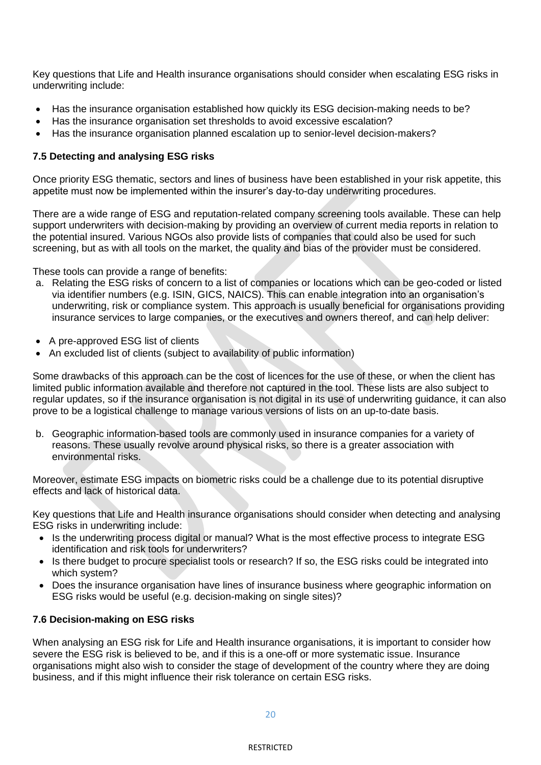Key questions that Life and Health insurance organisations should consider when escalating ESG risks in underwriting include:

- Has the insurance organisation established how quickly its ESG decision-making needs to be?
- Has the insurance organisation set thresholds to avoid excessive escalation?
- Has the insurance organisation planned escalation up to senior-level decision-makers?

#### **7.5 Detecting and analysing ESG risks**

Once priority ESG thematic, sectors and lines of business have been established in your risk appetite, this appetite must now be implemented within the insurer's day-to-day underwriting procedures.

There are a wide range of ESG and reputation-related company screening tools available. These can help support underwriters with decision-making by providing an overview of current media reports in relation to the potential insured. Various NGOs also provide lists of companies that could also be used for such screening, but as with all tools on the market, the quality and bias of the provider must be considered.

These tools can provide a range of benefits:

- a. Relating the ESG risks of concern to a list of companies or locations which can be geo-coded or listed via identifier numbers (e.g. ISIN, GICS, NAICS). This can enable integration into an organisation's underwriting, risk or compliance system. This approach is usually beneficial for organisations providing insurance services to large companies, or the executives and owners thereof, and can help deliver:
- A pre-approved ESG list of clients
- An excluded list of clients (subject to availability of public information)

Some drawbacks of this approach can be the cost of licences for the use of these, or when the client has limited public information available and therefore not captured in the tool. These lists are also subject to regular updates, so if the insurance organisation is not digital in its use of underwriting guidance, it can also prove to be a logistical challenge to manage various versions of lists on an up-to-date basis.

b. Geographic information-based tools are commonly used in insurance companies for a variety of reasons. These usually revolve around physical risks, so there is a greater association with environmental risks.

Moreover, estimate ESG impacts on biometric risks could be a challenge due to its potential disruptive effects and lack of historical data.

Key questions that Life and Health insurance organisations should consider when detecting and analysing ESG risks in underwriting include:

- Is the underwriting process digital or manual? What is the most effective process to integrate ESG identification and risk tools for underwriters?
- Is there budget to procure specialist tools or research? If so, the ESG risks could be integrated into which system?
- Does the insurance organisation have lines of insurance business where geographic information on ESG risks would be useful (e.g. decision-making on single sites)?

#### **7.6 Decision-making on ESG risks**

When analysing an ESG risk for Life and Health insurance organisations, it is important to consider how severe the ESG risk is believed to be, and if this is a one-off or more systematic issue. Insurance organisations might also wish to consider the stage of development of the country where they are doing business, and if this might influence their risk tolerance on certain ESG risks.

20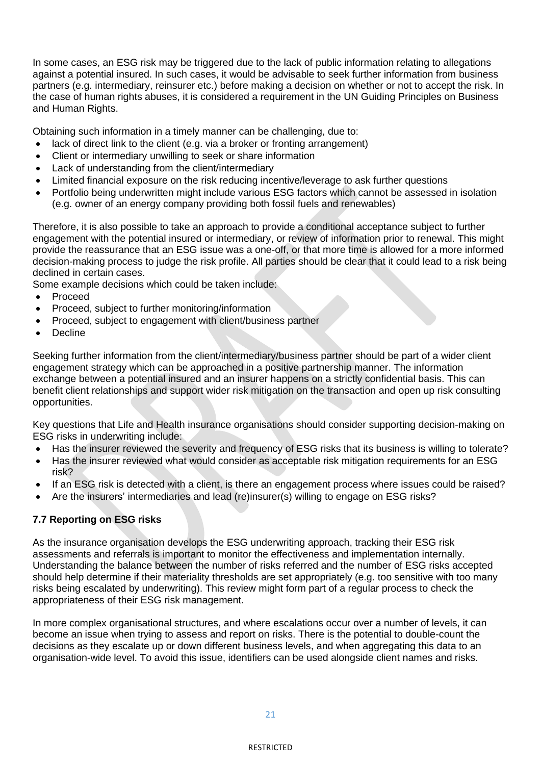In some cases, an ESG risk may be triggered due to the lack of public information relating to allegations against a potential insured. In such cases, it would be advisable to seek further information from business partners (e.g. intermediary, reinsurer etc.) before making a decision on whether or not to accept the risk. In the case of human rights abuses, it is considered a requirement in the UN Guiding Principles on Business and Human Rights.

Obtaining such information in a timely manner can be challenging, due to:

- lack of direct link to the client (e.g. via a broker or fronting arrangement)
- Client or intermediary unwilling to seek or share information
- Lack of understanding from the client/intermediary
- Limited financial exposure on the risk reducing incentive/leverage to ask further questions
- Portfolio being underwritten might include various ESG factors which cannot be assessed in isolation (e.g. owner of an energy company providing both fossil fuels and renewables)

Therefore, it is also possible to take an approach to provide a conditional acceptance subject to further engagement with the potential insured or intermediary, or review of information prior to renewal. This might provide the reassurance that an ESG issue was a one-off, or that more time is allowed for a more informed decision-making process to judge the risk profile. All parties should be clear that it could lead to a risk being declined in certain cases.

Some example decisions which could be taken include:

- Proceed
- Proceed, subject to further monitoring/information
- Proceed, subject to engagement with client/business partner
- **Decline**

Seeking further information from the client/intermediary/business partner should be part of a wider client engagement strategy which can be approached in a positive partnership manner. The information exchange between a potential insured and an insurer happens on a strictly confidential basis. This can benefit client relationships and support wider risk mitigation on the transaction and open up risk consulting opportunities.

Key questions that Life and Health insurance organisations should consider supporting decision-making on ESG risks in underwriting include:

- Has the insurer reviewed the severity and frequency of ESG risks that its business is willing to tolerate?
- Has the insurer reviewed what would consider as acceptable risk mitigation requirements for an ESG risk?
- If an ESG risk is detected with a client, is there an engagement process where issues could be raised?
- Are the insurers' intermediaries and lead (re)insurer(s) willing to engage on ESG risks?

#### **7.7 Reporting on ESG risks**

As the insurance organisation develops the ESG underwriting approach, tracking their ESG risk assessments and referrals is important to monitor the effectiveness and implementation internally. Understanding the balance between the number of risks referred and the number of ESG risks accepted should help determine if their materiality thresholds are set appropriately (e.g. too sensitive with too many risks being escalated by underwriting). This review might form part of a regular process to check the appropriateness of their ESG risk management.

In more complex organisational structures, and where escalations occur over a number of levels, it can become an issue when trying to assess and report on risks. There is the potential to double-count the decisions as they escalate up or down different business levels, and when aggregating this data to an organisation-wide level. To avoid this issue, identifiers can be used alongside client names and risks.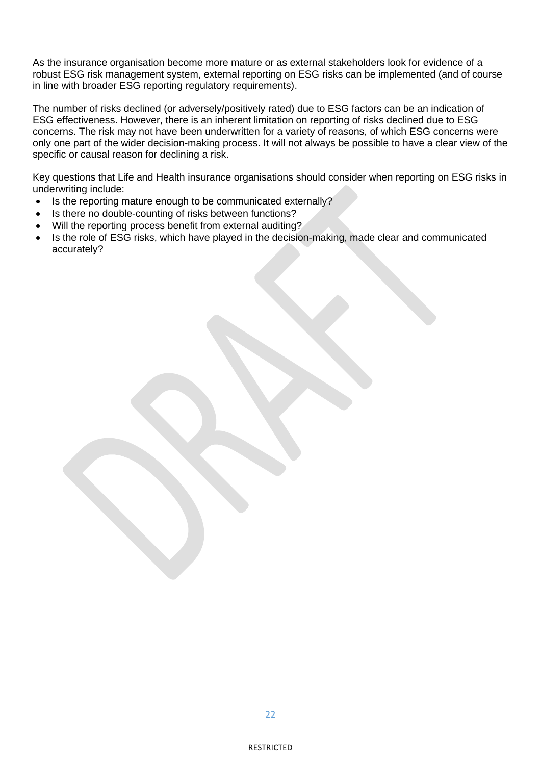As the insurance organisation become more mature or as external stakeholders look for evidence of a robust ESG risk management system, external reporting on ESG risks can be implemented (and of course in line with broader ESG reporting regulatory requirements).

The number of risks declined (or adversely/positively rated) due to ESG factors can be an indication of ESG effectiveness. However, there is an inherent limitation on reporting of risks declined due to ESG concerns. The risk may not have been underwritten for a variety of reasons, of which ESG concerns were only one part of the wider decision-making process. It will not always be possible to have a clear view of the specific or causal reason for declining a risk.

Key questions that Life and Health insurance organisations should consider when reporting on ESG risks in underwriting include:

- Is the reporting mature enough to be communicated externally?
- Is there no double-counting of risks between functions?
- Will the reporting process benefit from external auditing?
- Is the role of ESG risks, which have played in the decision-making, made clear and communicated accurately?

 $22$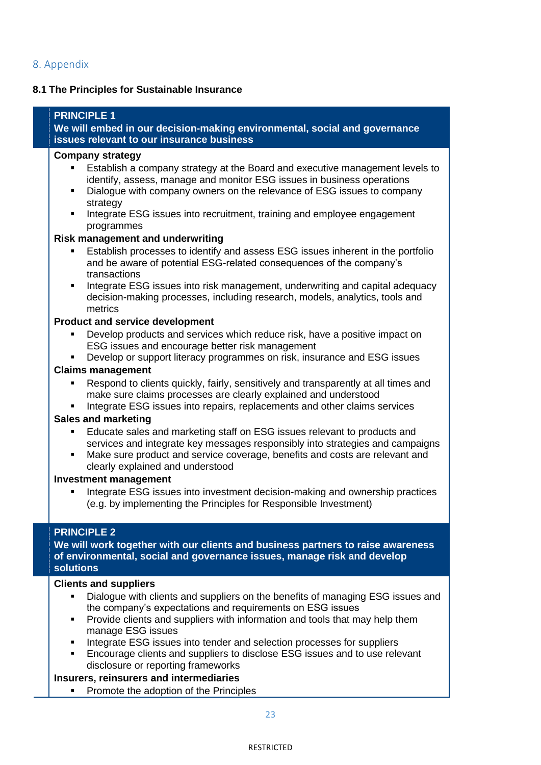### **8.1 The Principles for Sustainable Insurance**

**PRINCIPLE 1 We will embed in our decision-making environmental, social and governance issues relevant to our insurance business Company strategy** Establish a company strategy at the Board and executive management levels to identify, assess, manage and monitor ESG issues in business operations Dialogue with company owners on the relevance of ESG issues to company strategy Integrate ESG issues into recruitment, training and employee engagement programmes **Risk management and underwriting** Establish processes to identify and assess ESG issues inherent in the portfolio and be aware of potential ESG-related consequences of the company's transactions Integrate ESG issues into risk management, underwriting and capital adequacy decision-making processes, including research, models, analytics, tools and metrics **Product and service development** Develop products and services which reduce risk, have a positive impact on ESG issues and encourage better risk management Develop or support literacy programmes on risk, insurance and ESG issues **Claims management** Respond to clients quickly, fairly, sensitively and transparently at all times and make sure claims processes are clearly explained and understood Integrate ESG issues into repairs, replacements and other claims services **Sales and marketing** Educate sales and marketing staff on ESG issues relevant to products and services and integrate key messages responsibly into strategies and campaigns Make sure product and service coverage, benefits and costs are relevant and clearly explained and understood **Investment management** Integrate ESG issues into investment decision-making and ownership practices (e.g. by implementing the Principles for Responsible Investment) **PRINCIPLE 2 We will work together with our clients and business partners to raise awareness of environmental, social and governance issues, manage risk and develop solutions Clients and suppliers** Dialogue with clients and suppliers on the benefits of managing ESG issues and the company's expectations and requirements on ESG issues ▪ Provide clients and suppliers with information and tools that may help them manage ESG issues Integrate ESG issues into tender and selection processes for suppliers Encourage clients and suppliers to disclose ESG issues and to use relevant disclosure or reporting frameworks **Insurers, reinsurers and intermediaries** ■ Promote the adoption of the Principles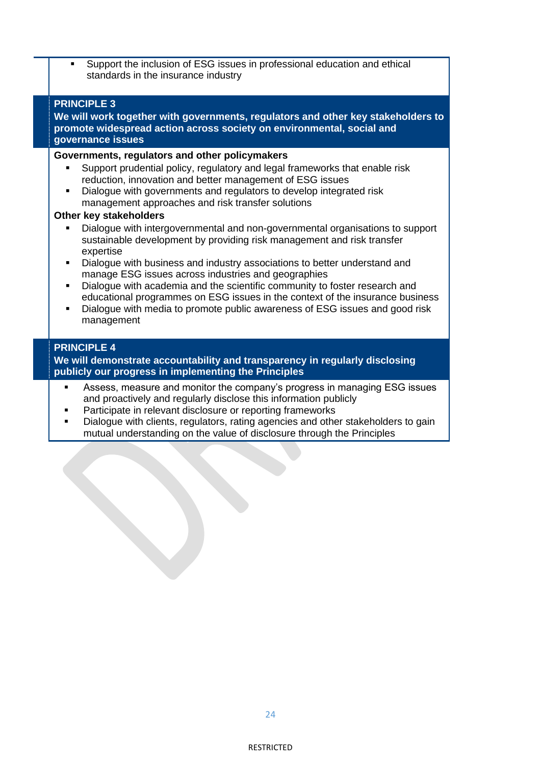Support the inclusion of ESG issues in professional education and ethical standards in the insurance industry

#### **PRINCIPLE 3**

**We will work together with governments, regulators and other key stakeholders to promote widespread action across society on environmental, social and governance issues**

#### **Governments, regulators and other policymakers**

- Support prudential policy, regulatory and legal frameworks that enable risk reduction, innovation and better management of ESG issues
- Dialogue with governments and regulators to develop integrated risk management approaches and risk transfer solutions

#### **Other key stakeholders**

- Dialogue with intergovernmental and non-governmental organisations to support sustainable development by providing risk management and risk transfer expertise
- Dialogue with business and industry associations to better understand and manage ESG issues across industries and geographies
- Dialogue with academia and the scientific community to foster research and educational programmes on ESG issues in the context of the insurance business
- Dialogue with media to promote public awareness of ESG issues and good risk management

#### **PRINCIPLE 4**

**We will demonstrate accountability and transparency in regularly disclosing publicly our progress in implementing the Principles**

- Assess, measure and monitor the company's progress in managing ESG issues and proactively and regularly disclose this information publicly
- Participate in relevant disclosure or reporting frameworks
- Dialogue with clients, regulators, rating agencies and other stakeholders to gain mutual understanding on the value of disclosure through the Principles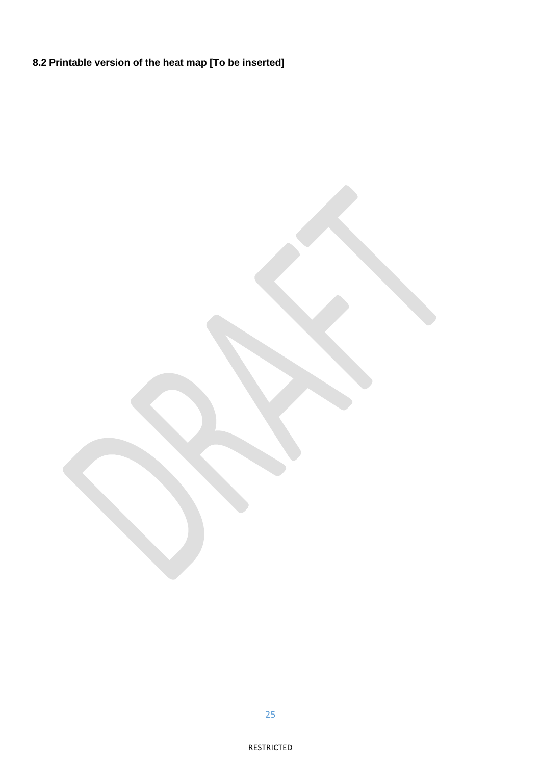**8.2 Printable version of the heat map [To be inserted]**

25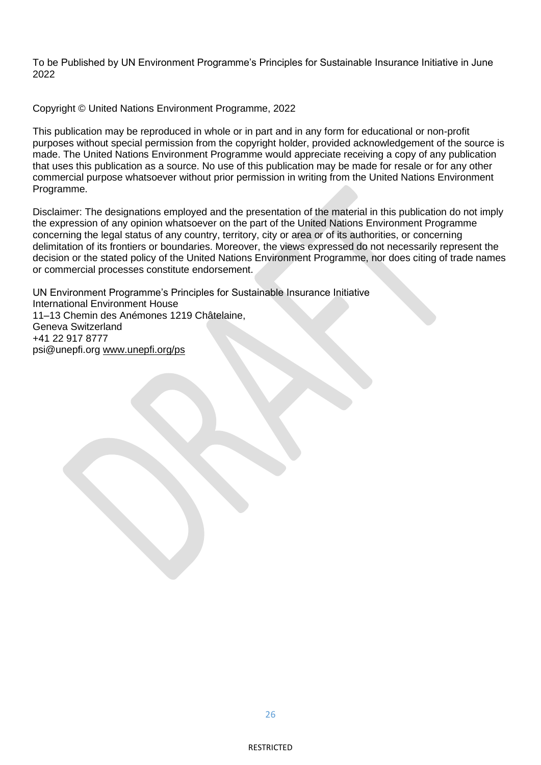To be Published by UN Environment Programme's Principles for Sustainable Insurance Initiative in June 2022

Copyright © United Nations Environment Programme, 2022

This publication may be reproduced in whole or in part and in any form for educational or non-profit purposes without special permission from the copyright holder, provided acknowledgement of the source is made. The United Nations Environment Programme would appreciate receiving a copy of any publication that uses this publication as a source. No use of this publication may be made for resale or for any other commercial purpose whatsoever without prior permission in writing from the United Nations Environment Programme.

Disclaimer: The designations employed and the presentation of the material in this publication do not imply the expression of any opinion whatsoever on the part of the United Nations Environment Programme concerning the legal status of any country, territory, city or area or of its authorities, or concerning delimitation of its frontiers or boundaries. Moreover, the views expressed do not necessarily represent the decision or the stated policy of the United Nations Environment Programme, nor does citing of trade names or commercial processes constitute endorsement.

UN Environment Programme's Principles for Sustainable Insurance Initiative International Environment House 11–13 Chemin des Anémones 1219 Châtelaine, Geneva Switzerland +41 22 917 8777 psi@unepfi.org [www.unepfi.org/ps](http://www.unepfi.org/ps)